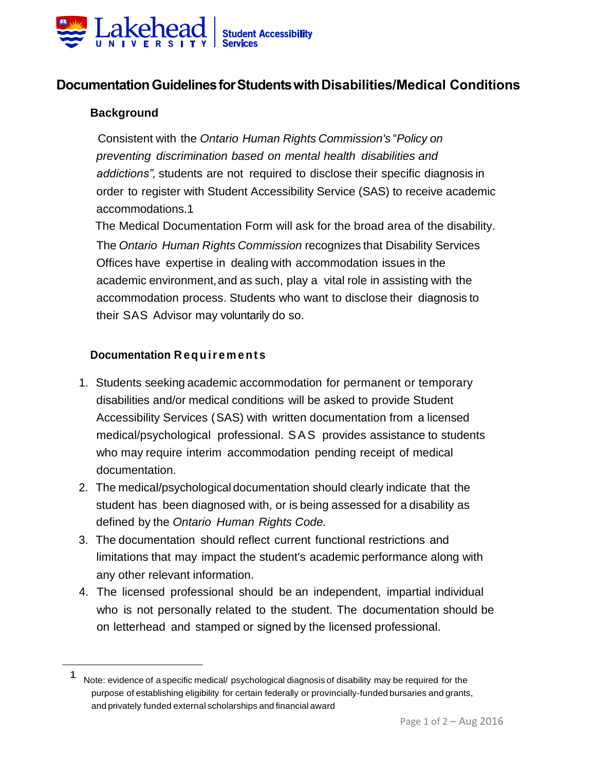

# **DocumentationGuidelinesforStudentswithDisabilities/Medical Conditions**

#### **Background**

 Consistent with the *Ontario Human Rights Commission's* "*Policy on preventing discrimination based on mental health disabilities and addictions",* students are not required to disclose their specific diagnosis in order to register with Student Accessibility Service (SAS) to receive academic accommodations.1

 The Medical Documentation Form will ask for the broad area of the disability. The *Ontario Human Rights Commission* recognizes that Disability Services Offices have expertise in dealing with accommodation issues in the academic environment,and as such, play a vital role in assisting with the accommodation process. Students who want to disclose their diagnosis to their SAS Advisor may voluntarily do so.

#### **Documentation R e q u i r e m e n t s**

- 1. Students seeking academic accommodation for permanent or temporary disabilities and/or medical conditions will be asked to provide Student Accessibility Services (SAS) with written documentation from a licensed medical/psychological professional. SAS provides assistance to students who may require interim accommodation pending receipt of medical documentation.
- 2. The medical/psychological documentation should clearly indicate that the student has been diagnosed with, or is being assessed for a disability as defined by the *Ontario Human Rights Code.*
- 3. The documentation should reflect current functional restrictions and limitations that may impact the student's academic performance along with any other relevant information.
- 4. The licensed professional should be an independent, impartial individual who is not personally related to the student. The documentation should be on letterhead and stamped or signed by the licensed professional.

<sup>1</sup> Note: evidence of a specific medical/ psychological diagnosis of disability may be required for the purpose of establishing eligibility for certain federally or provincially-funded bursaries and grants, and privately funded external scholarships and financial award